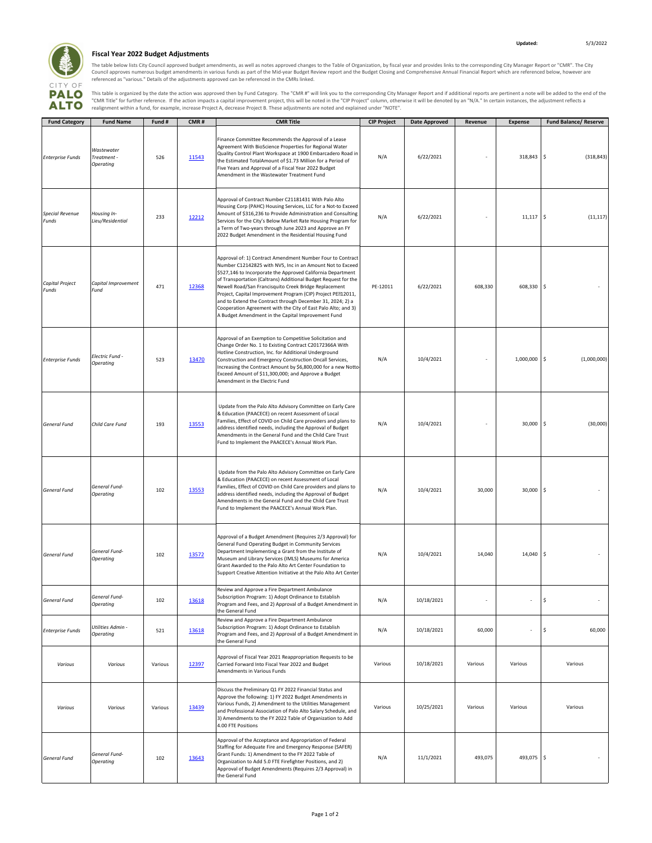

## **Fiscal Year 2022 Budget Adjustments**

The table below lists City Council approved budget amendments, as well as notes approved changes to the Table of Organization, by fiscal year and provides links to the corresponding City Manager Report or "CMR". The City<br>C

This table is organized by the date the action was approved then by Fund Category. The "CMR #" will link you to the corresponding City Manager Report and if additional reports are pertinent a note will be added to the end

| <b>Fund Category</b>            | <b>Fund Name</b>                       | Fund #  | CMR#  | <b>CMR Title</b>                                                                                                                                                                                                                                                                                                                                                                                                                                                                                                                                                       | <b>CIP Project</b> | Date Approved | Revenue | <b>Expense</b> | <b>Fund Balance/ Reserve</b> |
|---------------------------------|----------------------------------------|---------|-------|------------------------------------------------------------------------------------------------------------------------------------------------------------------------------------------------------------------------------------------------------------------------------------------------------------------------------------------------------------------------------------------------------------------------------------------------------------------------------------------------------------------------------------------------------------------------|--------------------|---------------|---------|----------------|------------------------------|
| <b>Enterprise Funds</b>         | Wastewater<br>Treatment -<br>Operating | 526     | 11543 | Finance Committee Recommends the Approval of a Lease<br>Agreement With BioScience Properties for Regional Water<br>Quality Control Plant Workspace at 1900 Embarcadero Road in<br>the Estimated TotalAmount of \$1.73 Million for a Period of<br>Five Years and Approval of a Fiscal Year 2022 Budget<br>Amendment in the Wastewater Treatment Fund                                                                                                                                                                                                                    | N/A                | 6/22/2021     |         | 318,843        | $\mathsf{S}$<br>(318, 843)   |
| <b>Special Revenue</b><br>Funds | Housing In-<br>Lieu/Residential        | 233     | 12212 | Approval of Contract Number C21181431 With Palo Alto<br>Housing Corp (PAHC) Housing Services, LLC for a Not-to Exceed<br>Amount of \$316,236 to Provide Administration and Consulting<br>Services for the City's Below Market Rate Housing Program for<br>a Term of Two-years through June 2023 and Approve an FY<br>2022 Budget Amendment in the Residential Housing Fund                                                                                                                                                                                             | N/A                | 6/22/2021     |         | 11,117         | ۱\$<br>(11, 117)             |
| Capital Project<br>Funds        | Capital Improvement<br>Fund            | 471     | 12368 | Approval of: 1) Contract Amendment Number Four to Contract<br>Number C12142825 with NV5, Inc in an Amount Not to Exceed<br>\$527,146 to Incorporate the Approved California Department<br>of Transportation (Caltrans) Additional Budget Request for the<br>Newell Road/San Francisquito Creek Bridge Replacement<br>Project, Capital Improvement Program (CIP) Project PE712011,<br>and to Extend the Contract through December 31, 2024; 2) a<br>Cooperation Agreement with the City of East Palo Alto; and 3)<br>A Budget Amendment in the Capital Improvement Fund | PE-12011           | 6/22/2021     | 608,330 | 608,330        | l\$                          |
| <b>Enterprise Funds</b>         | Electric Fund -<br>Operating           | 523     | 13470 | Approval of an Exemption to Competitive Solicitation and<br>Change Order No. 1 to Existing Contract C20172366A With<br>Hotline Construction, Inc. for Additional Underground<br>Construction and Emergency Construction Oncall Services,<br>Increasing the Contract Amount by \$6,800,000 for a new Notto-<br>Exceed Amount of \$11,300,000; and Approve a Budget<br>Amendment in the Electric Fund                                                                                                                                                                    | N/A                | 10/4/2021     |         | 1,000,000      | (1,000,000)<br>l \$          |
| <b>General Fund</b>             | Child Care Fund                        | 193     | 13553 | Update from the Palo Alto Advisory Committee on Early Care<br>& Education (PAACECE) on recent Assessment of Local<br>Families, Effect of COVID on Child Care providers and plans to<br>address identified needs, including the Approval of Budget<br>Amendments in the General Fund and the Child Care Trust<br>Fund to Implement the PAACECE's Annual Work Plan.                                                                                                                                                                                                      | N/A                | 10/4/2021     |         | 30,000         | -Ŝ<br>(30,000)               |
| General Fund                    | General Fund-<br>Operating             | 102     | 13553 | Update from the Palo Alto Advisory Committee on Early Care<br>& Education (PAACECE) on recent Assessment of Local<br>Families, Effect of COVID on Child Care providers and plans to<br>address identified needs, including the Approval of Budget<br>Amendments in the General Fund and the Child Care Trust<br>Fund to Implement the PAACECE's Annual Work Plan.                                                                                                                                                                                                      | N/A                | 10/4/2021     | 30,000  | 30,000         | $\sqrt{2}$                   |
| <b>General Fund</b>             | General Fund-<br>Operating             | 102     | 13572 | Approval of a Budget Amendment (Requires 2/3 Approval) for<br>General Fund Operating Budget in Community Services<br>Department Implementing a Grant from the Institute of<br>Museum and Library Services (IMLS) Museums for America<br>Grant Awarded to the Palo Alto Art Center Foundation to<br>Support Creative Attention Initiative at the Palo Alto Art Center                                                                                                                                                                                                   | N/A                | 10/4/2021     | 14,040  | 14,040         | l \$                         |
| <b>General Fund</b>             | General Fund-<br>Operating             | 102     | 13618 | Review and Approve a Fire Department Ambulance<br>Subscription Program: 1) Adopt Ordinance to Establish<br>Program and Fees, and 2) Approval of a Budget Amendment in<br>the General Fund                                                                                                                                                                                                                                                                                                                                                                              | N/A                | 10/18/2021    |         |                | \$                           |
| <b>Enterprise Funds</b>         | Utilities Admin -<br>Operating         | 521     | 13618 | Review and Approve a Fire Department Ambulance<br>Subscription Program: 1) Adopt Ordinance to Establish<br>Program and Fees, and 2) Approval of a Budget Amendment in<br>the General Fund                                                                                                                                                                                                                                                                                                                                                                              | N/A                | 10/18/2021    | 60,000  | ÷,             | \$<br>60,000                 |
| Various                         | Various                                | Various | 12397 | Approval of Fiscal Year 2021 Reappropriation Requests to be<br>Carried Forward Into Fiscal Year 2022 and Budget<br>Amendments in Various Funds                                                                                                                                                                                                                                                                                                                                                                                                                         | Various            | 10/18/2021    | Various | Various        | Various                      |
| Various                         | Various                                | Various | 13439 | Discuss the Preliminary Q1 FY 2022 Financial Status and<br>Approve the following: 1) FY 2022 Budget Amendments in<br>Various Funds, 2) Amendment to the Utilities Management<br>and Professional Association of Palo Alto Salary Schedule, and<br>3) Amendments to the FY 2022 Table of Organization to Add<br>4.00 FTE Positions                                                                                                                                                                                                                                      | Various            | 10/25/2021    | Various | Various        | Various                      |
| General Fund                    | General Fund-<br>Operating             | 102     | 13643 | Approval of the Acceptance and Appropriation of Federal<br>Staffing for Adequate Fire and Emergency Response (SAFER)<br>Grant Funds: 1) Amendment to the FY 2022 Table of<br>Organization to Add 5.0 FTE Firefighter Positions, and 2)<br>Approval of Budget Amendments (Requires 2/3 Approval) in<br>the General Fund                                                                                                                                                                                                                                                 | N/A                | 11/1/2021     | 493,075 | 493,075 \$     |                              |